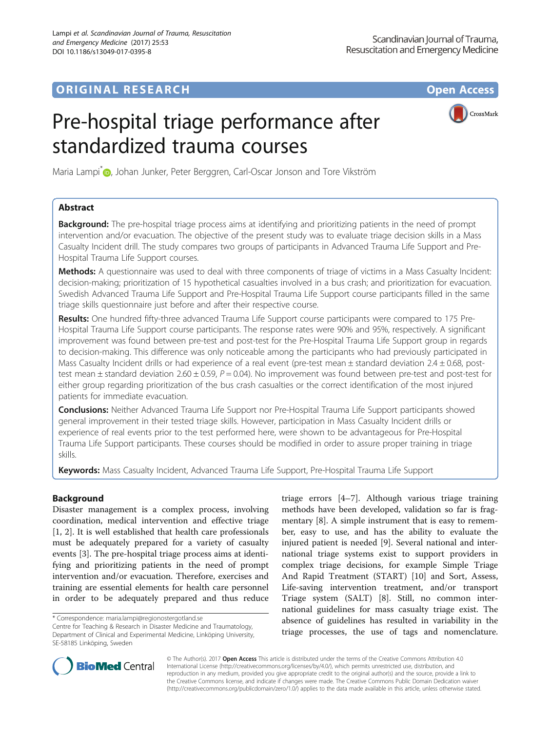## **ORIGINAL RESEARCH CONSUMING ACCESS**

# Pre-hospital triage performance after standardized trauma courses



Maria Lampi<sup>[\\*](http://orcid.org/0000-0002-7802-522X)</sup> , Johan Junker, Peter Berggren, Carl-Oscar Jonson and Tore Vikström

## Abstract

**Background:** The pre-hospital triage process aims at identifying and prioritizing patients in the need of prompt intervention and/or evacuation. The objective of the present study was to evaluate triage decision skills in a Mass Casualty Incident drill. The study compares two groups of participants in Advanced Trauma Life Support and Pre-Hospital Trauma Life Support courses.

Methods: A questionnaire was used to deal with three components of triage of victims in a Mass Casualty Incident: decision-making; prioritization of 15 hypothetical casualties involved in a bus crash; and prioritization for evacuation. Swedish Advanced Trauma Life Support and Pre-Hospital Trauma Life Support course participants filled in the same triage skills questionnaire just before and after their respective course.

Results: One hundred fifty-three advanced Trauma Life Support course participants were compared to 175 Pre-Hospital Trauma Life Support course participants. The response rates were 90% and 95%, respectively. A significant improvement was found between pre-test and post-test for the Pre-Hospital Trauma Life Support group in regards to decision-making. This difference was only noticeable among the participants who had previously participated in Mass Casualty Incident drills or had experience of a real event (pre-test mean  $\pm$  standard deviation 2.4  $\pm$  0.68, posttest mean  $\pm$  standard deviation 2.60  $\pm$  0.59, P = 0.04). No improvement was found between pre-test and post-test for either group regarding prioritization of the bus crash casualties or the correct identification of the most injured patients for immediate evacuation.

**Conclusions:** Neither Advanced Trauma Life Support nor Pre-Hospital Trauma Life Support participants showed general improvement in their tested triage skills. However, participation in Mass Casualty Incident drills or experience of real events prior to the test performed here, were shown to be advantageous for Pre-Hospital Trauma Life Support participants. These courses should be modified in order to assure proper training in triage skills.

Keywords: Mass Casualty Incident, Advanced Trauma Life Support, Pre-Hospital Trauma Life Support

## Background

Disaster management is a complex process, involving coordination, medical intervention and effective triage [[1, 2](#page-5-0)]. It is well established that health care professionals must be adequately prepared for a variety of casualty events [[3](#page-5-0)]. The pre-hospital triage process aims at identifying and prioritizing patients in the need of prompt intervention and/or evacuation. Therefore, exercises and training are essential elements for health care personnel in order to be adequately prepared and thus reduce

triage errors [\[4](#page-5-0)–[7](#page-5-0)]. Although various triage training methods have been developed, validation so far is fragmentary [[8\]](#page-5-0). A simple instrument that is easy to remember, easy to use, and has the ability to evaluate the injured patient is needed [[9\]](#page-5-0). Several national and international triage systems exist to support providers in complex triage decisions, for example Simple Triage And Rapid Treatment (START) [\[10\]](#page-5-0) and Sort, Assess, Life-saving intervention treatment, and/or transport Triage system (SALT) [[8\]](#page-5-0). Still, no common international guidelines for mass casualty triage exist. The absence of guidelines has resulted in variability in the triage processes, the use of tags and nomenclature.



© The Author(s). 2017 **Open Access** This article is distributed under the terms of the Creative Commons Attribution 4.0 International License [\(http://creativecommons.org/licenses/by/4.0/](http://creativecommons.org/licenses/by/4.0/)), which permits unrestricted use, distribution, and reproduction in any medium, provided you give appropriate credit to the original author(s) and the source, provide a link to the Creative Commons license, and indicate if changes were made. The Creative Commons Public Domain Dedication waiver [\(http://creativecommons.org/publicdomain/zero/1.0/](http://creativecommons.org/publicdomain/zero/1.0/)) applies to the data made available in this article, unless otherwise stated.

<sup>\*</sup> Correspondence: [maria.lampi@regionostergotland.se](mailto:maria.lampi@regionostergotland.se)

Centre for Teaching & Research in Disaster Medicine and Traumatology, Department of Clinical and Experimental Medicine, Linköping University, SE-58185 Linköping, Sweden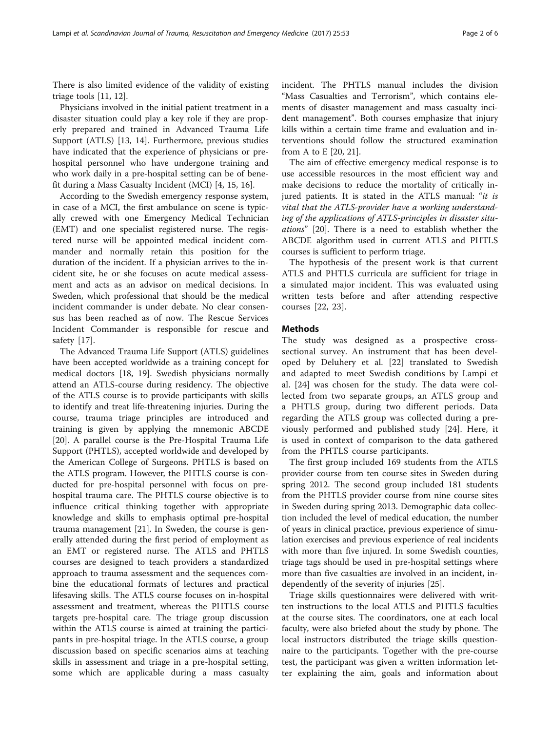There is also limited evidence of the validity of existing triage tools [\[11](#page-5-0), [12](#page-5-0)].

Physicians involved in the initial patient treatment in a disaster situation could play a key role if they are properly prepared and trained in Advanced Trauma Life Support (ATLS) [\[13](#page-5-0), [14](#page-5-0)]. Furthermore, previous studies have indicated that the experience of physicians or prehospital personnel who have undergone training and who work daily in a pre-hospital setting can be of benefit during a Mass Casualty Incident (MCI) [\[4](#page-5-0), [15](#page-5-0), [16](#page-5-0)].

According to the Swedish emergency response system, in case of a MCI, the first ambulance on scene is typically crewed with one Emergency Medical Technician (EMT) and one specialist registered nurse. The registered nurse will be appointed medical incident commander and normally retain this position for the duration of the incident. If a physician arrives to the incident site, he or she focuses on acute medical assessment and acts as an advisor on medical decisions. In Sweden, which professional that should be the medical incident commander is under debate. No clear consensus has been reached as of now. The Rescue Services Incident Commander is responsible for rescue and safety [\[17](#page-5-0)].

The Advanced Trauma Life Support (ATLS) guidelines have been accepted worldwide as a training concept for medical doctors [\[18, 19\]](#page-5-0). Swedish physicians normally attend an ATLS-course during residency. The objective of the ATLS course is to provide participants with skills to identify and treat life-threatening injuries. During the course, trauma triage principles are introduced and training is given by applying the mnemonic ABCDE [[20\]](#page-5-0). A parallel course is the Pre-Hospital Trauma Life Support (PHTLS), accepted worldwide and developed by the American College of Surgeons. PHTLS is based on the ATLS program. However, the PHTLS course is conducted for pre-hospital personnel with focus on prehospital trauma care. The PHTLS course objective is to influence critical thinking together with appropriate knowledge and skills to emphasis optimal pre-hospital trauma management [[21](#page-5-0)]. In Sweden, the course is generally attended during the first period of employment as an EMT or registered nurse. The ATLS and PHTLS courses are designed to teach providers a standardized approach to trauma assessment and the sequences combine the educational formats of lectures and practical lifesaving skills. The ATLS course focuses on in-hospital assessment and treatment, whereas the PHTLS course targets pre-hospital care. The triage group discussion within the ATLS course is aimed at training the participants in pre-hospital triage. In the ATLS course, a group discussion based on specific scenarios aims at teaching skills in assessment and triage in a pre-hospital setting, some which are applicable during a mass casualty

incident. The PHTLS manual includes the division "Mass Casualties and Terrorism", which contains elements of disaster management and mass casualty incident management". Both courses emphasize that injury kills within a certain time frame and evaluation and interventions should follow the structured examination from A to E [\[20](#page-5-0), [21\]](#page-5-0).

The aim of effective emergency medical response is to use accessible resources in the most efficient way and make decisions to reduce the mortality of critically injured patients. It is stated in the ATLS manual: "it is vital that the ATLS-provider have a working understanding of the applications of ATLS-principles in disaster situations" [[20\]](#page-5-0). There is a need to establish whether the ABCDE algorithm used in current ATLS and PHTLS courses is sufficient to perform triage.

The hypothesis of the present work is that current ATLS and PHTLS curricula are sufficient for triage in a simulated major incident. This was evaluated using written tests before and after attending respective courses [[22](#page-5-0), [23](#page-5-0)].

### Methods

The study was designed as a prospective crosssectional survey. An instrument that has been developed by Deluhery et al. [[22\]](#page-5-0) translated to Swedish and adapted to meet Swedish conditions by Lampi et al. [[24\]](#page-5-0) was chosen for the study. The data were collected from two separate groups, an ATLS group and a PHTLS group, during two different periods. Data regarding the ATLS group was collected during a previously performed and published study [\[24](#page-5-0)]. Here, it is used in context of comparison to the data gathered from the PHTLS course participants.

The first group included 169 students from the ATLS provider course from ten course sites in Sweden during spring 2012. The second group included 181 students from the PHTLS provider course from nine course sites in Sweden during spring 2013. Demographic data collection included the level of medical education, the number of years in clinical practice, previous experience of simulation exercises and previous experience of real incidents with more than five injured. In some Swedish counties, triage tags should be used in pre-hospital settings where more than five casualties are involved in an incident, independently of the severity of injuries [\[25](#page-5-0)].

Triage skills questionnaires were delivered with written instructions to the local ATLS and PHTLS faculties at the course sites. The coordinators, one at each local faculty, were also briefed about the study by phone. The local instructors distributed the triage skills questionnaire to the participants. Together with the pre-course test, the participant was given a written information letter explaining the aim, goals and information about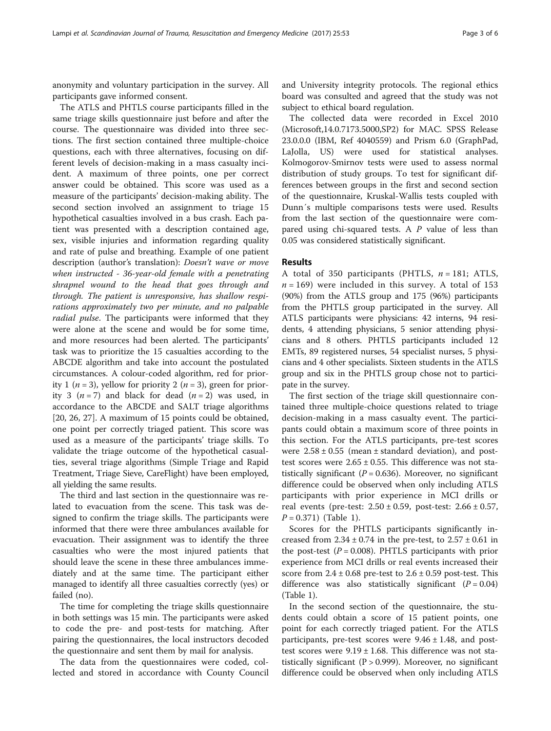anonymity and voluntary participation in the survey. All participants gave informed consent.

The ATLS and PHTLS course participants filled in the same triage skills questionnaire just before and after the course. The questionnaire was divided into three sections. The first section contained three multiple-choice questions, each with three alternatives, focusing on different levels of decision-making in a mass casualty incident. A maximum of three points, one per correct answer could be obtained. This score was used as a measure of the participants' decision-making ability. The second section involved an assignment to triage 15 hypothetical casualties involved in a bus crash. Each patient was presented with a description contained age, sex, visible injuries and information regarding quality and rate of pulse and breathing. Example of one patient description (author's translation): Doesn't wave or move when instructed - 36-year-old female with a penetrating shrapnel wound to the head that goes through and through. The patient is unresponsive, has shallow respirations approximately two per minute, and no palpable radial pulse. The participants were informed that they were alone at the scene and would be for some time, and more resources had been alerted. The participants' task was to prioritize the 15 casualties according to the ABCDE algorithm and take into account the postulated circumstances. A colour-coded algorithm, red for priority 1 ( $n = 3$ ), yellow for priority 2 ( $n = 3$ ), green for priority 3 ( $n = 7$ ) and black for dead ( $n = 2$ ) was used, in accordance to the ABCDE and SALT triage algorithms [[20, 26, 27\]](#page-5-0). A maximum of 15 points could be obtained, one point per correctly triaged patient. This score was used as a measure of the participants' triage skills. To validate the triage outcome of the hypothetical casualties, several triage algorithms (Simple Triage and Rapid Treatment, Triage Sieve, CareFlight) have been employed, all yielding the same results.

The third and last section in the questionnaire was related to evacuation from the scene. This task was designed to confirm the triage skills. The participants were informed that there were three ambulances available for evacuation. Their assignment was to identify the three casualties who were the most injured patients that should leave the scene in these three ambulances immediately and at the same time. The participant either managed to identify all three casualties correctly (yes) or failed (no).

The time for completing the triage skills questionnaire in both settings was 15 min. The participants were asked to code the pre- and post-tests for matching. After pairing the questionnaires, the local instructors decoded the questionnaire and sent them by mail for analysis.

The data from the questionnaires were coded, collected and stored in accordance with County Council and University integrity protocols. The regional ethics board was consulted and agreed that the study was not subject to ethical board regulation.

The collected data were recorded in Excel 2010 (Microsoft,14.0.7173.5000,SP2) for MAC. SPSS Release 23.0.0.0 (IBM, Ref 4040559) and Prism 6.0 (GraphPad, LaJolla, US) were used for statistical analyses. Kolmogorov-Smirnov tests were used to assess normal distribution of study groups. To test for significant differences between groups in the first and second section of the questionnaire, Kruskal-Wallis tests coupled with Dunn´s multiple comparisons tests were used. Results from the last section of the questionnaire were compared using chi-squared tests. A  $P$  value of less than 0.05 was considered statistically significant.

#### Results

A total of 350 participants (PHTLS,  $n = 181$ ; ATLS,  $n = 169$ ) were included in this survey. A total of 153 (90%) from the ATLS group and 175 (96%) participants from the PHTLS group participated in the survey. All ATLS participants were physicians: 42 interns, 94 residents, 4 attending physicians, 5 senior attending physicians and 8 others. PHTLS participants included 12 EMTs, 89 registered nurses, 54 specialist nurses, 5 physicians and 4 other specialists. Sixteen students in the ATLS group and six in the PHTLS group chose not to participate in the survey.

The first section of the triage skill questionnaire contained three multiple-choice questions related to triage decision-making in a mass casualty event. The participants could obtain a maximum score of three points in this section. For the ATLS participants, pre-test scores were  $2.58 \pm 0.55$  (mean  $\pm$  standard deviation), and posttest scores were  $2.65 \pm 0.55$ . This difference was not statistically significant ( $P = 0.636$ ). Moreover, no significant difference could be observed when only including ATLS participants with prior experience in MCI drills or real events (pre-test:  $2.50 \pm 0.59$ , post-test:  $2.66 \pm 0.57$ ,  $P = 0.371$ ) (Table [1](#page-3-0)).

Scores for the PHTLS participants significantly increased from  $2.34 \pm 0.74$  in the pre-test, to  $2.57 \pm 0.61$  in the post-test  $(P = 0.008)$ . PHTLS participants with prior experience from MCI drills or real events increased their score from  $2.4 \pm 0.68$  pre-test to  $2.6 \pm 0.59$  post-test. This difference was also statistically significant  $(P = 0.04)$ (Table [1\)](#page-3-0).

In the second section of the questionnaire, the students could obtain a score of 15 patient points, one point for each correctly triaged patient. For the ATLS participants, pre-test scores were  $9.46 \pm 1.48$ , and posttest scores were  $9.19 \pm 1.68$ . This difference was not statistically significant  $(P > 0.999)$ . Moreover, no significant difference could be observed when only including ATLS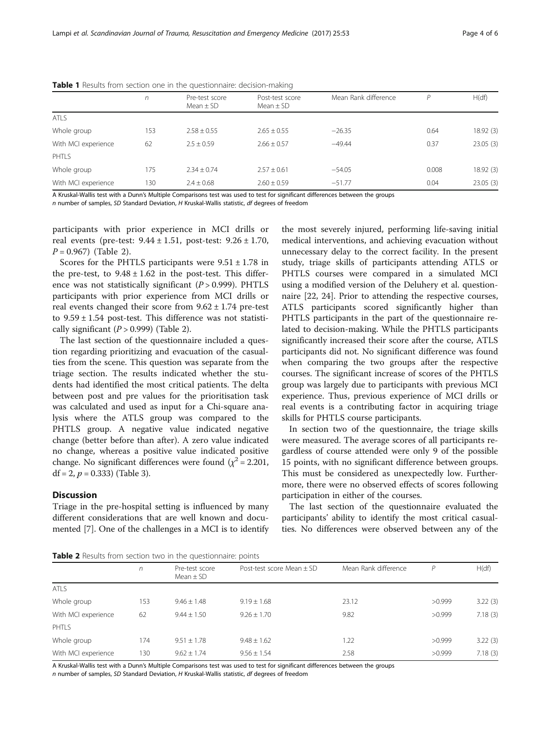|                     | $\sqrt{n}$ | Pre-test score<br>Mean $\pm$ SD | Post-test score<br>Mean $\pm$ SD | Mean Rank difference | D     | H(df)    |
|---------------------|------------|---------------------------------|----------------------------------|----------------------|-------|----------|
| <b>ATLS</b>         |            |                                 |                                  |                      |       |          |
| Whole group         | 153        | $2.58 \pm 0.55$                 | $2.65 \pm 0.55$                  | $-26.35$             | 0.64  | 18.92(3) |
| With MCI experience | 62         | $2.5 \pm 0.59$                  | $2.66 \pm 0.57$                  | $-49.44$             | 0.37  | 23.05(3) |
| PHTLS               |            |                                 |                                  |                      |       |          |
| Whole group         | 175        | $2.34 + 0.74$                   | $2.57 \pm 0.61$                  | $-54.05$             | 0.008 | 18.92(3) |
| With MCI experience | 130        | $2.4 \pm 0.68$                  | $2.60 \pm 0.59$                  | $-51.77$             | 0.04  | 23.05(3) |

<span id="page-3-0"></span>Table 1 Results from section one in the questionnaire: decision-making

A Kruskal-Wallis test with a Dunn's Multiple Comparisons test was used to test for significant differences between the groups

 $n$  number of samples, SD Standard Deviation, H Kruskal-Wallis statistic, df degrees of freedom

participants with prior experience in MCI drills or real events (pre-test:  $9.44 \pm 1.51$ , post-test:  $9.26 \pm 1.70$ ,  $P = 0.967$ ) (Table 2).

Scores for the PHTLS participants were  $9.51 \pm 1.78$  in the pre-test, to  $9.48 \pm 1.62$  in the post-test. This difference was not statistically significant  $(P > 0.999)$ . PHTLS participants with prior experience from MCI drills or real events changed their score from 9.62 ± 1.74 pre-test to  $9.59 \pm 1.54$  post-test. This difference was not statistically significant  $(P > 0.999)$  (Table 2).

The last section of the questionnaire included a question regarding prioritizing and evacuation of the casualties from the scene. This question was separate from the triage section. The results indicated whether the students had identified the most critical patients. The delta between post and pre values for the prioritisation task was calculated and used as input for a Chi-square analysis where the ATLS group was compared to the PHTLS group. A negative value indicated negative change (better before than after). A zero value indicated no change, whereas a positive value indicated positive change. No significant differences were found  $(\chi^2 = 2.201,$ df = 2,  $p = 0.333$ ) (Table [3](#page-4-0)).

## Discussion

Triage in the pre-hospital setting is influenced by many different considerations that are well known and documented [[7\]](#page-5-0). One of the challenges in a MCI is to identify

the most severely injured, performing life-saving initial medical interventions, and achieving evacuation without unnecessary delay to the correct facility. In the present study, triage skills of participants attending ATLS or PHTLS courses were compared in a simulated MCI using a modified version of the Deluhery et al. questionnaire [\[22, 24\]](#page-5-0). Prior to attending the respective courses, ATLS participants scored significantly higher than PHTLS participants in the part of the questionnaire related to decision-making. While the PHTLS participants significantly increased their score after the course, ATLS participants did not. No significant difference was found when comparing the two groups after the respective courses. The significant increase of scores of the PHTLS group was largely due to participants with previous MCI experience. Thus, previous experience of MCI drills or real events is a contributing factor in acquiring triage skills for PHTLS course participants.

In section two of the questionnaire, the triage skills were measured. The average scores of all participants regardless of course attended were only 9 of the possible 15 points, with no significant difference between groups. This must be considered as unexpectedly low. Furthermore, there were no observed effects of scores following participation in either of the courses.

The last section of the questionnaire evaluated the participants' ability to identify the most critical casualties. No differences were observed between any of the

Table 2 Results from section two in the questionnaire: points

| <b>Table 2</b> Results from section two in the questionnalite: points |     |                                 |                           |                      |        |         |  |
|-----------------------------------------------------------------------|-----|---------------------------------|---------------------------|----------------------|--------|---------|--|
|                                                                       | n   | Pre-test score<br>Mean $\pm$ SD | Post-test score Mean ± SD | Mean Rank difference | D      | H(df)   |  |
| <b>ATLS</b>                                                           |     |                                 |                           |                      |        |         |  |
| Whole group                                                           | 153 | $9.46 + 1.48$                   | $9.19 \pm 1.68$           | 23.12                | >0.999 | 3.22(3) |  |
| With MCI experience                                                   | 62  | $9.44 \pm 1.50$                 | $9.26 \pm 1.70$           | 9.82                 | >0.999 | 7.18(3) |  |
| PHTLS                                                                 |     |                                 |                           |                      |        |         |  |
| Whole group                                                           | 174 | $9.51 \pm 1.78$                 | $9.48 \pm 1.62$           | 1.22                 | >0.999 | 3.22(3) |  |
| With MCI experience                                                   | 130 | $9.62 + 1.74$                   | $9.56 \pm 1.54$           | 2.58                 | >0.999 | 7.18(3) |  |
|                                                                       |     |                                 |                           |                      |        |         |  |

A Kruskal-Wallis test with a Dunn's Multiple Comparisons test was used to test for significant differences between the groups

n number of samples, SD Standard Deviation, H Kruskal-Wallis statistic, df degrees of freedom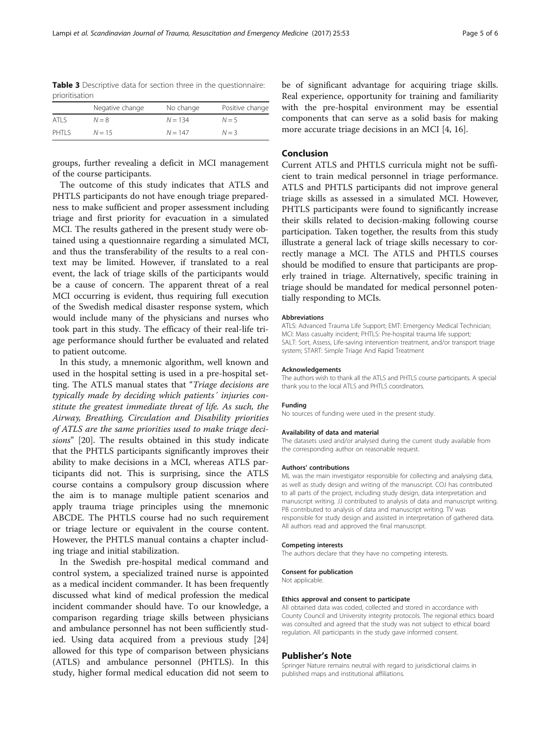<span id="page-4-0"></span>Table 3 Descriptive data for section three in the questionnaire: prioritisation

|       | Negative change | No change | Positive change |
|-------|-----------------|-----------|-----------------|
| ATI S | $N = 8$         | $N = 134$ | $N = 5$         |
| PHTLS | $N = 15$        | $N = 147$ | $N = 3$         |

groups, further revealing a deficit in MCI management of the course participants.

The outcome of this study indicates that ATLS and PHTLS participants do not have enough triage preparedness to make sufficient and proper assessment including triage and first priority for evacuation in a simulated MCI. The results gathered in the present study were obtained using a questionnaire regarding a simulated MCI, and thus the transferability of the results to a real context may be limited. However, if translated to a real event, the lack of triage skills of the participants would be a cause of concern. The apparent threat of a real MCI occurring is evident, thus requiring full execution of the Swedish medical disaster response system, which would include many of the physicians and nurses who took part in this study. The efficacy of their real-life triage performance should further be evaluated and related to patient outcome.

In this study, a mnemonic algorithm, well known and used in the hospital setting is used in a pre-hospital setting. The ATLS manual states that "Triage decisions are typically made by deciding which patients´ injuries constitute the greatest immediate threat of life. As such, the Airway, Breathing, Circulation and Disability priorities of ATLS are the same priorities used to make triage decisions" [[20\]](#page-5-0). The results obtained in this study indicate that the PHTLS participants significantly improves their ability to make decisions in a MCI, whereas ATLS participants did not. This is surprising, since the ATLS course contains a compulsory group discussion where the aim is to manage multiple patient scenarios and apply trauma triage principles using the mnemonic ABCDE. The PHTLS course had no such requirement or triage lecture or equivalent in the course content. However, the PHTLS manual contains a chapter including triage and initial stabilization.

In the Swedish pre-hospital medical command and control system, a specialized trained nurse is appointed as a medical incident commander. It has been frequently discussed what kind of medical profession the medical incident commander should have. To our knowledge, a comparison regarding triage skills between physicians and ambulance personnel has not been sufficiently studied. Using data acquired from a previous study [[24](#page-5-0)] allowed for this type of comparison between physicians (ATLS) and ambulance personnel (PHTLS). In this study, higher formal medical education did not seem to be of significant advantage for acquiring triage skills. Real experience, opportunity for training and familiarity with the pre-hospital environment may be essential components that can serve as a solid basis for making more accurate triage decisions in an MCI [\[4, 16\]](#page-5-0).

#### Conclusion

Current ATLS and PHTLS curricula might not be sufficient to train medical personnel in triage performance. ATLS and PHTLS participants did not improve general triage skills as assessed in a simulated MCI. However, PHTLS participants were found to significantly increase their skills related to decision-making following course participation. Taken together, the results from this study illustrate a general lack of triage skills necessary to correctly manage a MCI. The ATLS and PHTLS courses should be modified to ensure that participants are properly trained in triage. Alternatively, specific training in triage should be mandated for medical personnel potentially responding to MCIs.

#### Abbreviations

ATLS: Advanced Trauma Life Support; EMT: Emergency Medical Technician; MCI: Mass casualty incident; PHTLS: Pre-hospital trauma life support; SALT: Sort, Assess, Life-saving intervention treatment, and/or transport triage system; START: Simple Triage And Rapid Treatment

#### Acknowledgements

The authors wish to thank all the ATLS and PHTLS course participants. A special thank you to the local ATLS and PHTLS coordinators.

#### Funding

No sources of funding were used in the present study.

#### Availability of data and material

The datasets used and/or analysed during the current study available from the corresponding author on reasonable request.

#### Authors' contributions

ML was the main investigator responsible for collecting and analysing data, as well as study design and writing of the manuscript. COJ has contributed to all parts of the project, including study design, data interpretation and manuscript writing. JJ contributed to analysis of data and manuscript writing. PB contributed to analysis of data and manuscript writing. TV was responsible for study design and assisted in interpretation of gathered data. All authors read and approved the final manuscript.

#### Competing interests

The authors declare that they have no competing interests.

#### Consent for publication

Not applicable.

#### Ethics approval and consent to participate

All obtained data was coded, collected and stored in accordance with County Council and University integrity protocols. The regional ethics board was consulted and agreed that the study was not subject to ethical board regulation. All participants in the study gave informed consent.

#### Publisher's Note

Springer Nature remains neutral with regard to jurisdictional claims in published maps and institutional affiliations.